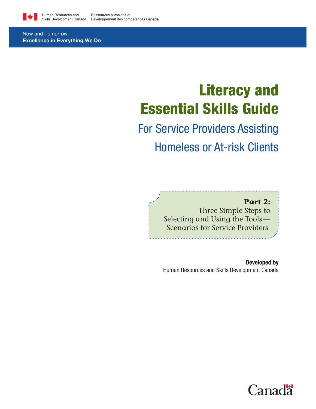

Now and Tomorrow **Excellence in Everything We Do**

# Literacy and Essential Skills Guide

# For Service Providers Assisting Homeless or At-risk Clients

# **Part 2:**

Three Simple Steps to Selecting and Using the Tools — Scenarios for Service Providers

Developed by Human Resources and Skills Development Canada

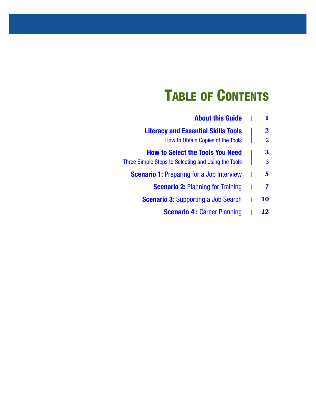# **TABLE OF CONTENTS**

|              | <b>About this Guide</b>                             |
|--------------|-----------------------------------------------------|
| $\mathbf{2}$ | <b>Literacy and Essential Skills Tools</b>          |
| 2            | How to Obtain Copies of the Tools                   |
| 3            | <b>How to Select the Tools You Need</b>             |
| 3            | Three Simple Steps to Selecting and Using the Tools |
| 5            | <b>Scenario 1:</b> Preparing for a Job Interview    |
| 7            | <b>Scenario 2: Planning for Training</b>            |
| 10           | <b>Scenario 3: Supporting a Job Search</b>          |
| 12           | <b>Scenario 4: Career Planning</b>                  |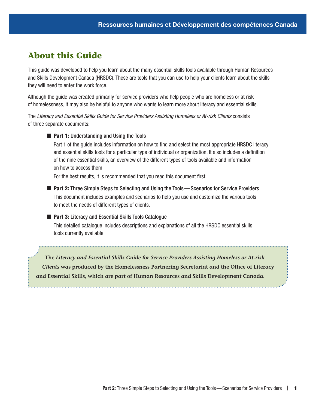# <span id="page-4-0"></span>**About this Guide**

This guide was developed to help you learn about the many essential skills tools available through Human Resources and Skills Development Canada (HRSDC). These are tools that you can use to help your clients learn about the skills they will need to enter the work force.

Although the guide was created primarily for service providers who help people who are homeless or at risk of homelessness, it may also be helpful to anyone who wants to learn more about literacy and essential skills.

The *Literacy and Essential Skills Guide for Service Providers Assisting Homeless or At-risk Clients* consists of three separate documents:

**Part 1: Understanding and Using the Tools** 

Part 1 of the guide includes information on how to find and select the most appropriate HRSDC literacy and essential skills tools for a particular type of individual or organization. It also includes a definition of the nine essential skills, an overview of the different types of tools available and information on how to access them.

For the best results, it is recommended that you read this document first.

■ Part 2: Three Simple Steps to Selecting and Using the Tools—Scenarios for Service Providers This document includes examples and scenarios to help you use and customize the various tools to meet the needs of different types of clients.

#### ■ Part 3: Literacy and Essential Skills Tools Catalogue

This detailed catalogue includes descriptions and explanations of all the HRSDC essential skills tools currently available.

**The** *Literacy and Essential Skills Guide for Service Providers Assisting Homeless or At-risk Clients* **was produced by the Homelessness Partnering Secretariat and the Office of Literacy and Essential Skills, which are part of Human Resources and Skills Development Canada.**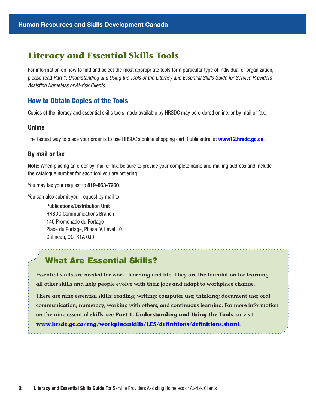# <span id="page-5-0"></span>**Literacy and Essential Skills Tools**

For information on how to find and select the most appropriate tools for a particular type of individual or organization, please read *Part 1: Understanding and Using the Tools of the Literacy and Essential Skills Guide for Service Providers Assisting Homeless or At-risk Clients*.

# How to Obtain Copies of the Tools

Copies of the literacy and essential skills tools made available by HRSDC may be ordered online, or by mail or fax.

#### **Online**

The fastest way to place your order is to use HRSDC's online shopping cart, Publicentre, at **[www12.hrsdc.gc.ca](http://www12.hrsdc.gc.ca)**.

#### By mail or fax

Note: When placing an order by mail or fax, be sure to provide your complete name and mailing address and include the catalogue number for each tool you are ordering.

You may fax your request to 819-953-7260.

You can also submit your request by mail to:

Publications/Distribution Unit HRSDC Communications Branch 140 Promenade du Portage Place du Portage, Phase IV, Level 10 Gatineau, QC K1A 0J9

# What Are Essential Skills?

**Essential skills are needed for work, learning and life. They are the foundation for learning all other skills and help people evolve with their jobs and adapt to workplace change.**

**There are nine essential skills: reading; writing; computer use; thinking; document use; oral communication; numeracy; working with others; and continuous learning. For more information on the nine essential skills, see Part 1: Understanding and Using the Tools, or visit [www.hrsdc.gc.ca/eng/workplaceskills/LES/definitions/definitions.shtml](http://www.hrsdc.gc.ca/eng/workplaceskills/LES/definitions/definitions.shtml).**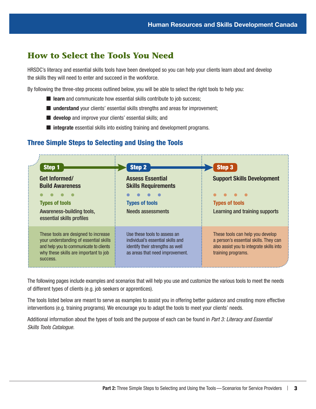# <span id="page-6-0"></span>**How to Select the Tools You Need**

HRSDC's literacy and essential skills tools have been developed so you can help your clients learn about and develop the skills they will need to enter and succeed in the workforce.

By following the three-step process outlined below, you will be able to select the right tools to help you:

- $\blacksquare$  learn and communicate how essential skills contribute to job success;
- understand your clients' essential skills strengths and areas for improvement;
- **develop** and improve your clients' essential skills; and
- $\blacksquare$  **integrate** essential skills into existing training and development programs.

# Three Simple Steps to Selecting and Using the Tools



The following pages include examples and scenarios that will help you use and customize the various tools to meet the needs of different types of clients (e.g. job seekers or apprentices).

The tools listed below are meant to serve as examples to assist you in offering better guidance and creating more effective interventions (e.g. training programs). We encourage you to adapt the tools to meet your clients' needs.

Additional information about the types of tools and the purpose of each can be found in *Part 3: Literacy and Essential Skills Tools Catalogue.*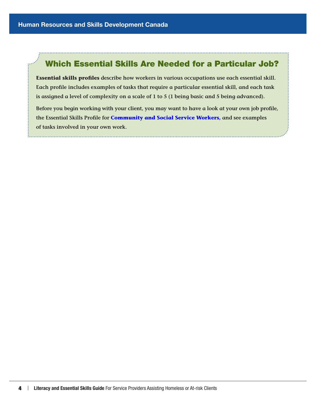i.,

# Which Essential Skills Are Needed for a Particular Job?

**Essential skills profiles describe how workers in various occupations use each essential skill. Each profile includes examples of tasks that require a particular essential skill, and each task is assigned a level of complexity on a scale of 1 to 5 (1 being basic and 5 being advanced).**

**Before you begin working with your client, you may want to have a look at your own job profile, the Essential Skills Profile for [Community and Social Service Workers,](http://www.hrsdc.gc.ca/eng/workplaceskills/LES/tools_resources/NOC/social_service.shtml) and see examples of tasks involved in your own work.**

4 | Literacy and Essential Skills Guide For Service Providers Assisting Homeless or At-risk Clients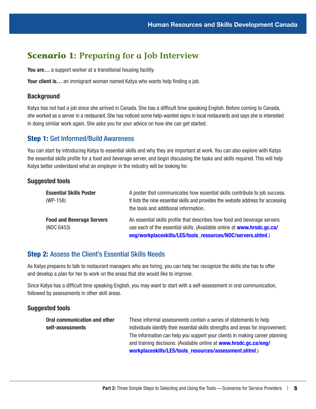# <span id="page-8-0"></span>**Scenario 1: Preparing for a Job Interview**

You are... a support worker at a transitional housing facility.

Your client is... an immigrant woman named Katya who wants help finding a job.

### **Background**

Katya has not had a job since she arrived in Canada. She has a difficult time speaking English. Before coming to Canada, she worked as a server in a restaurant. She has noticed some help-wanted signs in local restaurants and says she is interested in doing similar work again. She asks you for your advice on how she can get started.

## Step 1: Get Informed/Build Awareness

You can start by introducing Katya to essential skills and why they are important at work. You can also explore with Katya the essential skills profile for a food and beverage server, and begin discussing the tasks and skills required. This will help Katya better understand what an employer in the industry will be looking for.

## Suggested tools

| <b>Essential Skills Poster</b>   | A poster that communicates how essential skills contribute to job success.                                                 |
|----------------------------------|----------------------------------------------------------------------------------------------------------------------------|
| $(WP-158)$                       | It lists the nine essential skills and provides the website address for accessing<br>the tools and additional information. |
| <b>Food and Beverage Servers</b> | An essential skills profile that describes how food and beverage servers                                                   |
| (NOC 6453)                       | use each of the essential skills. (Available online at www.hrsdc.gc.ca/                                                    |
|                                  | eng/workplaceskills/LES/tools_resources/NOC/servers.shtml.)                                                                |

## Step 2: Assess the Client's Essential Skills Needs

As Katya prepares to talk to restaurant managers who are hiring, you can help her recognize the skills she has to offer and develop a plan for her to work on the areas that she would like to improve.

Since Katya has a difficult time speaking English, you may want to start with a self-assessment in oral communication, followed by assessments in other skill areas.

| Oral communication and other | These informal assessments contain a series of statements to help                |
|------------------------------|----------------------------------------------------------------------------------|
| self-assessments             | individuals identify their essential skills strengths and areas for improvement. |
|                              | The information can help you support your clients in making career planning      |
|                              | and training decisions. (Available online at www.hrsdc.gc.ca/eng/                |
|                              | workplaceskills/LES/tools resources/assessment.shtml.)                           |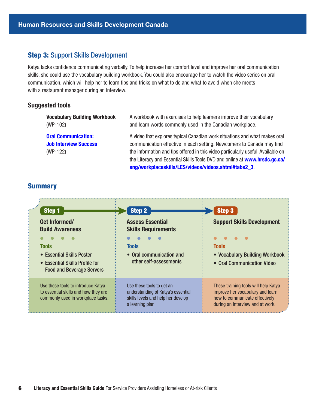#### Step 3: Support Skills Development

Katya lacks confidence communicating verbally. To help increase her comfort level and improve her oral communication skills, she could use the vocabulary building workbook. You could also encourage her to watch the video series on oral communication, which will help her to learn tips and tricks on what to do and what to avoid when she meets with a restaurant manager during an interview.

#### Suggested tools

Vocabulary Building Workbook (WP-102)

[Oral Communication:](http://www.hrsdc.gc.ca/eng/workplaceskills/LES/videos/videos.shtml#tabs2_3)  [Job Interview Success](http://www.hrsdc.gc.ca/eng/workplaceskills/LES/videos/videos.shtml#tabs2_3) (WP-122)

A workbook with exercises to help learners improve their vocabulary and learn words commonly used in the Canadian workplace.

A video that explores typical Canadian work situations and what makes oral communication effective in each setting. Newcomers to Canada may find the information and tips offered in this video particularly useful. Available on the Literacy and Essential Skills Tools DVD and online at [www.hrsdc.gc.ca/](http://www.hrsdc.gc.ca/eng/workplaceskills/LES/videos/videos.shtml#tabs2_3) [eng/workplaceskills/LES/videos/videos.shtml#tabs2\\_3](http://www.hrsdc.gc.ca/eng/workplaceskills/LES/videos/videos.shtml#tabs2_3).

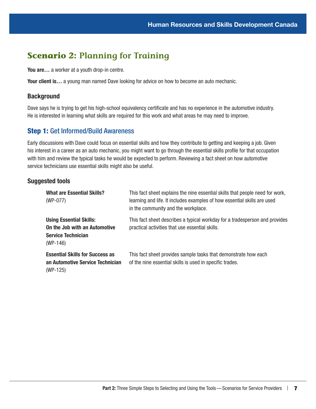# <span id="page-10-0"></span>**Scenario 2: Planning for Training**

You are... a worker at a youth drop-in centre.

Your client is... a young man named Dave looking for advice on how to become an auto mechanic.

### **Background**

Dave says he is trying to get his high-school equivalency certificate and has no experience in the automotive industry. He is interested in learning what skills are required for this work and what areas he may need to improve.

## Step 1: Get Informed/Build Awareness

Early discussions with Dave could focus on essential skills and how they contribute to getting and keeping a job. Given his interest in a career as an auto mechanic, you might want to go through the essential skills profile for that occupation with him and review the typical tasks he would be expected to perform. Reviewing a fact sheet on how automotive service technicians use essential skills might also be useful.

| <b>What are Essential Skills?</b><br>$(WP-077)$                                                            | This fact sheet explains the nine essential skills that people need for work,<br>learning and life. It includes examples of how essential skills are used<br>in the community and the workplace. |
|------------------------------------------------------------------------------------------------------------|--------------------------------------------------------------------------------------------------------------------------------------------------------------------------------------------------|
| <b>Using Essential Skills:</b><br>On the Job with an Automotive<br><b>Service Technician</b><br>$(WP-146)$ | This fact sheet describes a typical workday for a tradesperson and provides<br>practical activities that use essential skills.                                                                   |
| <b>Essential Skills for Success as</b><br>an Automotive Service Technician<br>$(WP-125)$                   | This fact sheet provides sample tasks that demonstrate how each<br>of the nine essential skills is used in specific trades.                                                                      |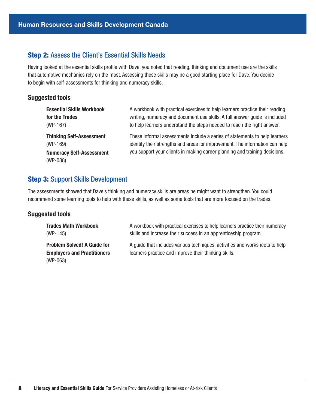## Step 2: Assess the Client's Essential Skills Needs

Having looked at the essential skills profile with Dave, you noted that reading, thinking and document use are the skills that automotive mechanics rely on the most. Assessing these skills may be a good starting place for Dave. You decide to begin with self-assessments for thinking and numeracy skills.

#### Suggested tools

| <b>Essential Skills Workbook</b>                                                             | A workbook with practical exercises to help learners practice their reading,                                                                                                                                                             |
|----------------------------------------------------------------------------------------------|------------------------------------------------------------------------------------------------------------------------------------------------------------------------------------------------------------------------------------------|
| for the Trades                                                                               | writing, numeracy and document use skills. A full answer guide is included                                                                                                                                                               |
| $(WP-167)$                                                                                   | to help learners understand the steps needed to reach the right answer.                                                                                                                                                                  |
| <b>Thinking Self-Assessment</b><br>$(WP-169)$<br><b>Numeracy Self-Assessment</b><br>(WP-088) | These informal assessments include a series of statements to help learners<br>identify their strengths and areas for improvement. The information can help<br>you support your clients in making career planning and training decisions. |

# Step 3: Support Skills Development

The assessments showed that Dave's thinking and numeracy skills are areas he might want to strengthen. You could recommend some learning tools to help with these skills, as well as some tools that are more focused on the trades.

| <b>Trades Math Workbook</b>                                                            | A workbook with practical exercises to help learners practice their numeracy                                                        |
|----------------------------------------------------------------------------------------|-------------------------------------------------------------------------------------------------------------------------------------|
| $(WP-145)$                                                                             | skills and increase their success in an apprenticeship program.                                                                     |
| <b>Problem Solved! A Guide for</b><br><b>Employers and Practitioners</b><br>$(WP-063)$ | A guide that includes various techniques, activities and worksheets to help<br>learners practice and improve their thinking skills. |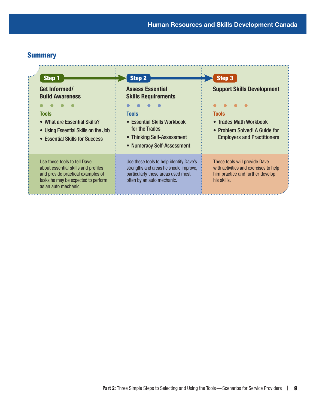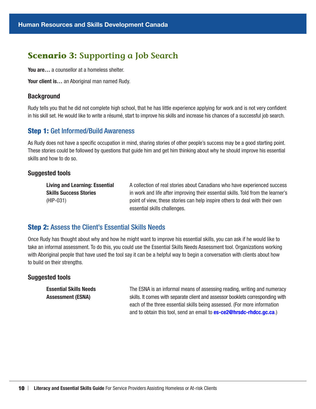# <span id="page-13-0"></span>**Scenario 3: Supporting a Job Search**

You are... a counsellor at a homeless shelter.

Your client is... an Aboriginal man named Rudy.

#### **Background**

Rudy tells you that he did not complete high school, that he has little experience applying for work and is not very confident in his skill set. He would like to write a résumé, start to improve his skills and increase his chances of a successful job search.

#### Step 1: Get Informed/Build Awareness

As Rudy does not have a specific occupation in mind, sharing stories of other people's success may be a good starting point. These stories could be followed by questions that guide him and get him thinking about why he should improve his essential skills and how to do so.

#### Suggested tools

Living and Learning: Essential Skills Success Stories (HIP-031)

A collection of real stories about Canadians who have experienced success in work and life after improving their essential skills. Told from the learner's point of view, these stories can help inspire others to deal with their own essential skills challenges.

### Step 2: Assess the Client's Essential Skills Needs

Once Rudy has thought about why and how he might want to improve his essential skills, you can ask if he would like to take an informal assessment. To do this, you could use the Essential Skills Needs Assessment tool. Organizations working with Aboriginal people that have used the tool say it can be a helpful way to begin a conversation with clients about how to build on their strengths.

#### Suggested tools

Essential Skills Needs Assessment (ESNA) The ESNA is an informal means of assessing reading, writing and numeracy skills. It comes with separate client and assessor booklets corresponding with each of the three essential skills being assessed. (For more information and to obtain this tool, send an email to **[es-ce2@hrsdc-rhdcc.gc.ca](mailto:es%E2%80%91ce2%40hrsdc-rhdcc.gc.ca?subject=)**.)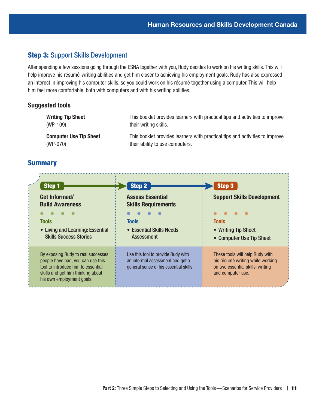## Step 3: Support Skills Development

After spending a few sessions going through the ESNA together with you, Rudy decides to work on his writing skills. This will help improve his résumé-writing abilities and get him closer to achieving his employment goals. Rudy has also expressed an interest in improving his computer skills, so you could work on his résumé together using a computer. This will help him feel more comfortable, both with computers and with his writing abilities.

#### Suggested tools

Writing Tip Sheet (WP-109) This booklet provides learners with practical tips and activities to improve their writing skills. Computer Use Tip Sheet (WP-070) This booklet provides learners with practical tips and activities to improve their ability to use computers.

| Step 1                                                                                                                                                                          | <b>Step 2</b>                                                                                                    | Step 3                                                                                                                       |
|---------------------------------------------------------------------------------------------------------------------------------------------------------------------------------|------------------------------------------------------------------------------------------------------------------|------------------------------------------------------------------------------------------------------------------------------|
| Get Informed/<br><b>Build Awareness</b>                                                                                                                                         | <b>Assess Essential</b><br><b>Skills Requirements</b>                                                            | <b>Support Skills Development</b>                                                                                            |
| <b>Tools</b><br>• Living and Learning: Essential<br><b>Skills Success Stories</b>                                                                                               | <b>Tools</b><br>• Essential Skills Needs<br><b>Assessment</b>                                                    | <b>Tools</b><br>• Writing Tip Sheet<br>• Computer Use Tip Sheet                                                              |
| By exposing Rudy to real successes<br>people have had, you can use this<br>tool to introduce him to essential<br>skills and get him thinking about<br>his own employment goals. | Use this tool to provide Rudy with<br>an informal assessment and get a<br>general sense of his essential skills. | These tools will help Rudy with<br>his résumé writing while working<br>on two essential skills: writing<br>and computer use. |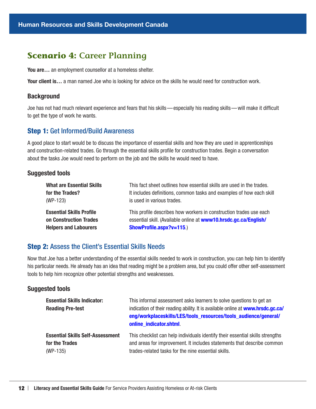# <span id="page-15-0"></span>**Scenario 4: Career Planning**

You are... an employment counsellor at a homeless shelter.

Your client is... a man named Joe who is looking for advice on the skills he would need for construction work.

#### **Background**

Joe has not had much relevant experience and fears that his skills—especially his reading skills—will make it difficult to get the type of work he wants.

#### Step 1: Get Informed/Build Awareness

A good place to start would be to discuss the importance of essential skills and how they are used in apprenticeships and construction-related trades. Go through the essential skills profile for construction trades. Begin a conversation about the tasks Joe would need to perform on the job and the skills he would need to have.

#### Suggested tools

| This fact sheet outlines how essential skills are used in the trades. |
|-----------------------------------------------------------------------|
| It includes definitions, common tasks and examples of how each skill  |
| is used in various trades.                                            |
| This profile describes how workers in construction trades use each    |
| essential skill. (Available online at www10.hrsdc.gc.ca/English/      |
| ShowProfile.aspx?v=115.)                                              |
|                                                                       |

## Step 2: Assess the Client's Essential Skills Needs

Now that Joe has a better understanding of the essential skills needed to work in construction, you can help him to identify his particular needs. He already has an idea that reading might be a problem area, but you could offer other self-assessment tools to help him recognize other potential strengths and weaknesses.

| <b>Essential Skills Indicator:</b><br><b>Reading Pre-test</b> | This informal assessment asks learners to solve questions to get an<br>indication of their reading ability. It is available online at www.hrsdc.gc.ca/<br>eng/workplaceskills/LES/tools_resources/tools_audience/general/<br>online indicator.shtml. |
|---------------------------------------------------------------|------------------------------------------------------------------------------------------------------------------------------------------------------------------------------------------------------------------------------------------------------|
| <b>Essential Skills Self-Assessment</b>                       | This checklist can help individuals identify their essential skills strengths                                                                                                                                                                        |
| for the Trades                                                | and areas for improvement. It includes statements that describe common                                                                                                                                                                               |
| $(WP-135)$                                                    | trades-related tasks for the nine essential skills.                                                                                                                                                                                                  |